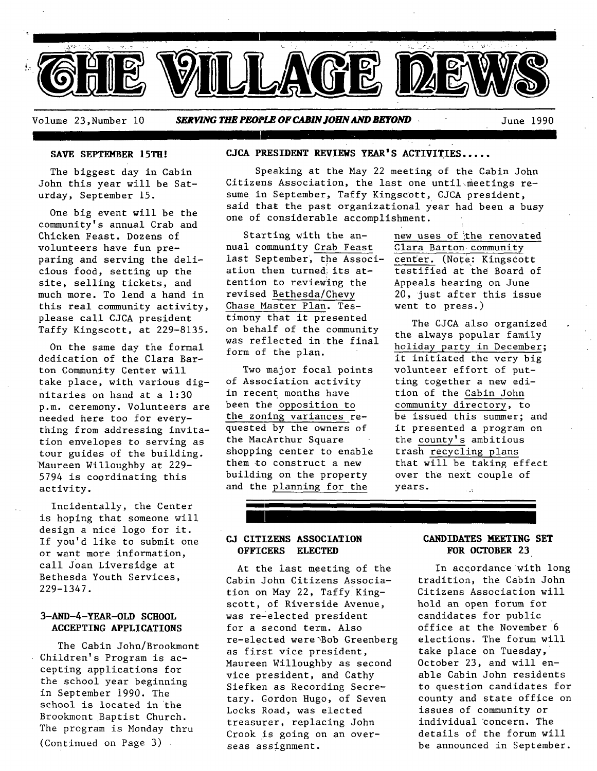

Volume 23,Number I0 *SERVING THE PEOPLE OF CABIN JOHN AND BEYOND* June 1990

T

#### **SAVE SEPTEMBER 15TH!**

The biggest day in Cabin John this year will be Saturday, September 15.

One big event will be the community's annual Crab and Chicken Feast. Dozens of volunteers have fun preparing and serving the delicious food, setting up the site, selling tickets, and much more. To lend a hand in this real community activity, please call CJCA president Taffy Kingscott, at 229-8135.

On the same day the formal dedication of the Clara Barton Community Center will take place, with various dignitaries on hand at a 1:30 p.m. ceremony. Volunteers are needed here too for everything from addressing invitation envelopes to serving as tour guides of the building. Maureen Willoughby at 229- 5794 is coordinating this activity.

Incidentally, the Center is hoping that someone will design a nice logo for it. If you'd like to submit one or want more information, call Joan Liversidge at Bethesda Youth Services, 229-1347.

## 3-AND-4-YEAR-OLD SCHOOL **ACCEPTING APPLICATIONS**

The Cabin John/Brookmont Children's Program is accepting applications for the school year beginning in September 1990. The school is located in the Brookmont Baptist Church. The program is Monday thru (Continued on Page 3)

## **CJCA PRESIDENT REVIEWS YEAR'S ACTIVITIES** .....

Speaking at the May 22 meeting of the Cabin John Citizens Association, the last one until meetings resume in September, Taffy Kingscott, CJCA president, said that the past organizational year had been a busy one of considerable accomplishment.

nual community Crab Feast Clara Barton community last September, the Associ- center. (Note: Kingscott ation then turned; its attention to reviewing the revised Bethesda/Chevy Chase Master Plan. Testimony that it presented on behalf of the community was reflected in the final form of the plan.

Two major focal points of Association activity in recent months have been the opposition to the zoning variances requested by the owners of the MacArthur Square shopping center to enable them to construct a new building on the property and the planning for the

Starting with the an- new uses of the renovated testified at the Board of Appeals hearing on June 20, just after this issue went to press.)

> The CJCA also organized the always popular family holiday party in December; it initiated the very big volunteer effort of putting together a new edition of the Cabin John community directory, to be issued this summer; and it presented a program on the county's ambitious trash recycling plans that will be taking effect over the next couple of years.

# **CJ CITIZENS ASSOCIATION OFFICERS ELECTED**

At the last meeting of the Cabin John Citizens Association on May 22, Taffy Kingscott, of Riverside Avenue, was re-elected president for a second term. Also re-elected were~Bob Greenberg as first vice president, Maureen Willoughby as second vice president, and Cathy Siefken as Recording Secretary. Gordon Hugo, of Seven Locks Road, was elected treasurer, replacing John Crook is going on an overseas assignment.

# **CANDIDATES MEETING SET FOR OCTOBER 23**

In accordance with long tradition, the Cabin John Citizens Association will hold an open forum for candidates for public office at the November 6 elections. The forum will take place on Tuesday, October 23, and will enable Cabin John residents to question candidates for county and state office on issues of community or individual concern. The details of the forum will be announced in September.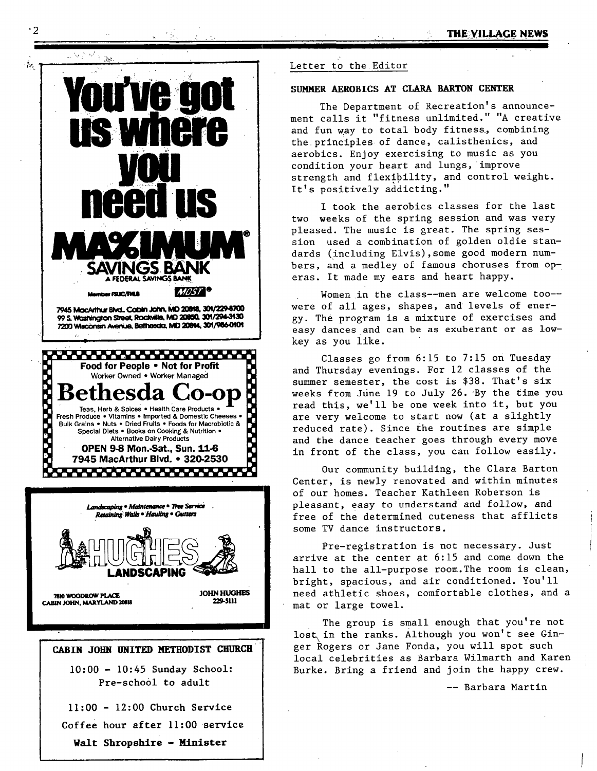

# **CABIN JOHN UNITED METHODIST CHURCH**  i0:00 - 10:45 Sunday **School:**  Pre-scho01 to adult Ii:00 - 12:00 Church Service Coffee hour after II:00 service

**Walt Shropshlre** -Ninister

#### Letter to the Editor

#### SUMMER AEROBICS AT CLARA BARTON CENTER

The Department of Recreation's announcement calls it "fitness unlimited." "A creative and fun way to total body fitness, combining the principles of dance, calisthenics, and aerobics. Enjoy exercising to music as you condition your heart and lungs, improve strength and flexibility, and control weight. It's positively addicting."

I took the aerobics classes for the last two weeks of the spring session and was very pleased. The music is great. The spring session used a combination of golden oldie standards (including Elvis),some good modern numbers, and a medley of famous choruses from operas. It made my ears and heart happy.

Women in the class--men are welcome too-were of all ages, shapes, and levels of energy. The program is a mixture of exercises and easy dances and can be as exuberant or as lowkey as you like.

Classes go from 6:15 to 7:15 on Tuesday and Thursday evenings. For 12 classes of the summer semester, the cost is \$38. That's six weeks from June 19 to July 26. By the time you read this, we'll be one week into it, but you are very welcome to start now (at a slightly reduced rate). Since the routines are simple and the dance teacher goes through every move in front of the class, you can follow easily.

Our community building, the Clara Barton Center, is newly renovated and within minutes of our homes. Teacher Kathleen Roberson is pleasant, easy to understand and follow, and free of the determined cuteness that afflicts some TV dance instructors.

Pre-registration is not necessary. Just arrive at the center at 6:15 and come down the hall to the all-purpose room. The room is clean, bright, spacious, and air conditioned. You'll need athletic shoes, comfortable clothes, and a mat or large towel.

The group is small enough that you're not lost in the ranks. Although you won't see Ginger Rogers or Jane Fonda, you will spot such local celebrities as Barbara Wilmarth and Karen Burke. Bring a friend and join the happy crew.

-- Barbara Martin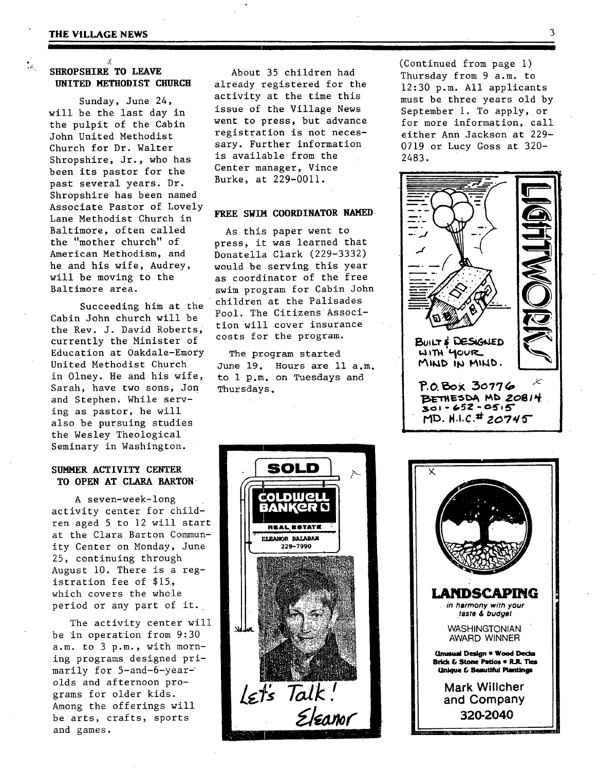**I** 

 $\frac{1}{2}$ 

# **SHROPSHIRE TO LEAVE UNITED METHODIST CHURCH**

X

Sunday, June 24, will be the last day in the pulpit of the Cabin John United Methodist Church for Dr. Walter Shropshire, Jr., who has been its pastor for the past several years. Dr. Shropshire has been named Associate Pastor of Lovely Lane Methodist Church in Baltimore, often called the "mother church" of American Methodism, and he and his wife, Audrey, will be moving to the Baltimore area.

Succeeding him at the Cabin John church will be the Rev. J. David Roberts; currently the Minister of Education at Oakdale-Emory United Methodist Church in 01ney. He and his wife, Sarah, have two sons, Jon and Stephen. While serving as pastor, he will also be pursuing studies the Wesley Theological Seminary in Washington.

## **SUMMER ACTIVITY CENTER TO OPEN AT CLARA BARTON**

A seven-week-long activity center for children aged 5 to 12 will start at the Clara Barton Community Center on Monday, June 25, continuing through August i0. There is a registration fee of \$15, which covers the whole period or any part of it.

The activity center will be in operation from 9:30 a.m. to 3 p.m., with morning programs designed primarily for 5-and-6-yearolds and afternoon programs for older kids. Among the offerings will be arts, crafts, sports and games.

About 35 children had already registered for the activity at the time this issue of the Village News went to press, but advance registration is not necessary. Further information **is** available from the Center manager, Vince Burke, at 229-0011.

#### **FREE SWIM COORDINATOR NAMED.**

As this paper went to press, it was learned that Donatella Clark (229-3332) would be serving this year as coordinator of the free swim program for Cabin John children at the Palisades Pool. The Citizens Assocition will cover insurance costs for the program.

The program started June 19. Hours are 11 a.m. to 1 p.m. on Tuesdays and Thursdays.

(Continued from page i) Thursday from 9 a.m. to 12:30 p.m. All applicants must be three years old by September i. To apply, or for more information, call either Ann Jackson at 229- 0719 or LUCY Goss at 320- 2483.





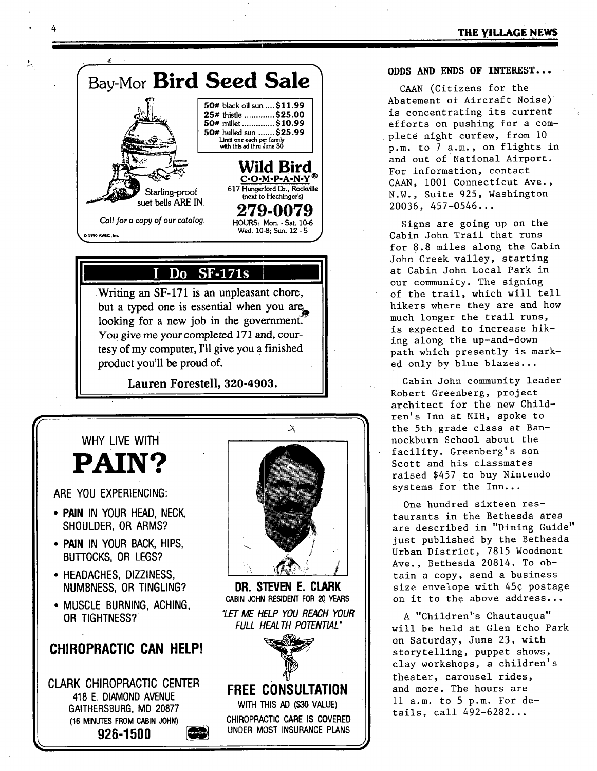# **THE VILLAGE NEWS**



 $\bullet$ 

# **Do SF-17L,**

**• Writing an SF-171 is an unpleasant chore,**  but a typed one is essential when you are looking for a new job in the government. You give me your completed 171 and, cour**tesy of my computer, I'll give you a finished product you'll be proud of.** 

**Lauren Forestell, 320-4903.** 



Montrecard

**(16 MINUTES FROM CABIN JOHN)** 

926-1500

# **CHIROPRACTIC CARE IS COVERED UNDER MOST INSURANCE PLANS**

**ODDS AND ENDS OF INTEREST...** 

CAAN (Citizens for the Abatement of Aircraft Noise) is concentrating its current efforts on pushing for a complete night curfew, from i0 p.m. to 7 a.m., on flights in and out of National Airport. For information, contact CAAN, i001 Connecticut Ave., N.W., Suite 925, Washington 20036, 457-0546...

Signs are going up on the Cabin John Trail that runs for 8.8 miles along the Cabin John Creek valley, starting at Cabin John Local Park in our community. The signing of the trail, which will tell hikers where they are and how much longer the trail runs, is expected to increase hiking along the up-and-down path which presently is marked only by blue blazes...

Cabin John community leader Robert Greenberg, project architect for the new Children's Inn at NIH, spoke to the 5th grade class at Bannockburn School about the facility. Greenberg's son Scott and his classmates raised \$457 to buy Nintendo systems for the Inn...

One hundred sixteen restaurants in the Bethesda area are described in "Dining Guide" just published by the Bethesda Urban District, 7815 Woodmont Ave., Bethesda 20814. To obtain a copy, send a business size envelope with 45¢ postage on it to the above address...

A "Children"s Chautauqua" will be held at Glen Echo Park on Saturday, June 23, with storytelling, puppet shows, clay workshops, a children's theater, carousel rides, and more. The hours are 11 a.m. to 5 p.m. For details, call 492-6282...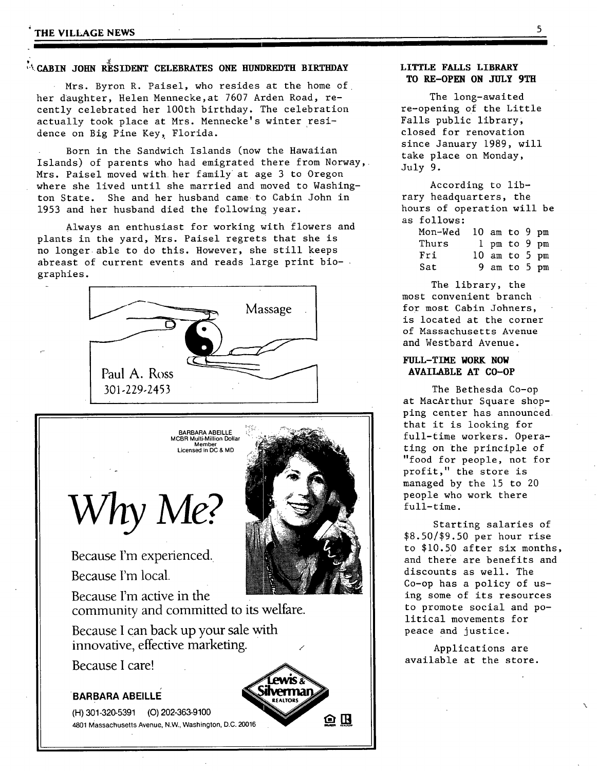## **THE VILLAGE NEWS 5**

# **"%CABIN JOHN RESIDENT CELEBRATES ONE HUNDREDTII BIRTHDAY**

Mrs. Byron R. Paisel, who resides at the home of her daughter, Helen Mennecke,at 7607 Arden Road, recently celebrated her 100th birthday. The celebration actually took place at Mrs. Mennecke's winter residence on Big Pine Key, Florida.

Born in the Sandwich Islands (now the Hawaiian Islands) of parents who had emigrated there from Norway, Mrs. Paisel moved with her family at age 3 to Oregon where she lived until she married and moved to Washington State. She and her husband came to Cabin John in 1953 and her husband died the following year.

Always an enthusiast for working with flowers and plants in the yard, Mrs. Paisel regrets that she is no longer able to do this. However, she still keeps abreast of current events and reads large print biographies.





Because I'm experienced.

Because I'm local.<br>Because I'm active in the community and committed to its welfare.

ilvermar

ΘB

Because I can back up your sale with innovative, effective marketing.

Because I care!

# **BARBARA ABEILLE**

(H) 301-320-5391 (O) 202-363-9100 4801 Massachusetts Avenue, N.W., Washington, D.C. 20016



The long-awaited re-opening of the Little Falls public library; closed for renovation since January 1989, will take place on Monday, July 9.

According to library headquarters, the hours of operation will be as follows:

| Mon-Wed | 10 am to 9 $pm$ |  |  |
|---------|-----------------|--|--|
| Thurs   | $1$ pm to 9 pm  |  |  |
| Fri     | 10 am to 5 $pm$ |  |  |
| Sat     | 9 am to 5 pm    |  |  |

The library, the most convenient branch for most Cabin Johners, is located at the corner of Massachusetts Avenue and Westbard Avenue.

# **FULL-TIME WORK NOW AVAILABLE AT CO-OP**

The Bethesda Co-op at MacArthur Square shopping center has announced that it is looking for full-time workers. Operating on the principle of "food for people, not for profit," the store is managed by the 15 to 20 people who work there full-time.

Starting salaries of \$8.50/\$9.50 per hour rise to \$10.50 after six months, and there are benefits and discounts as well. The Co-op has a policy of using some of its resources to promote social and political movements for peace and justice.

Applications are available at the store.